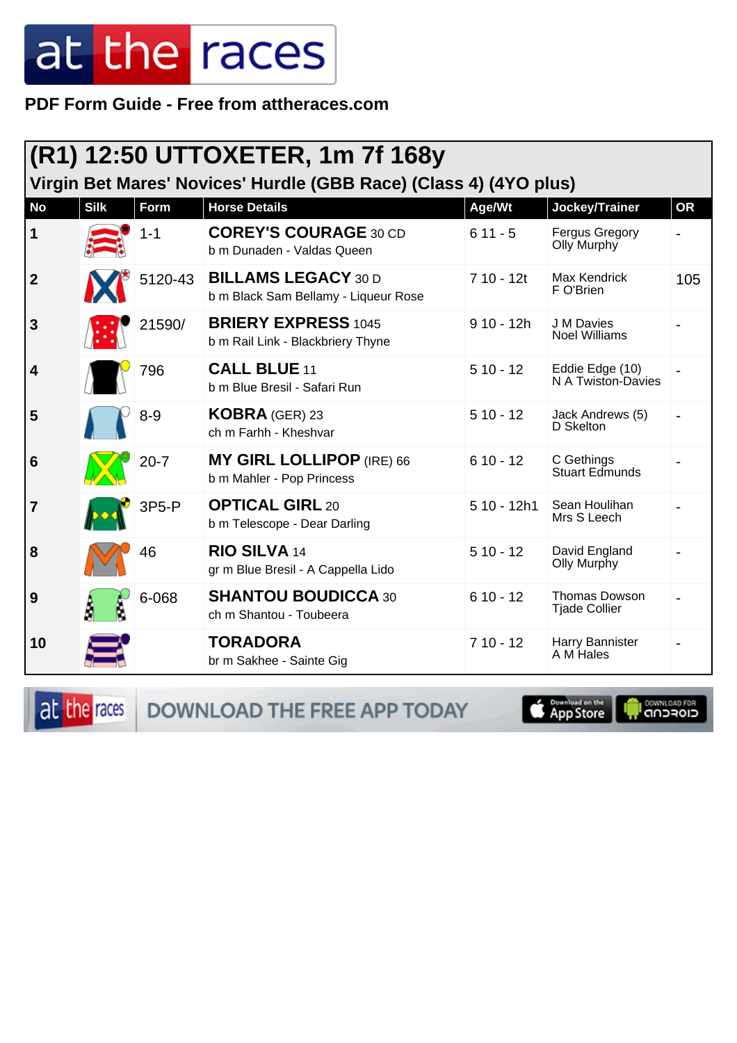PDF Form Guide - Free from attheraces.com

| (R1) 12:50 UTTOXETER, 1m 7f 168y                                  |             |          |                                                                    |              |                                       |           |  |
|-------------------------------------------------------------------|-------------|----------|--------------------------------------------------------------------|--------------|---------------------------------------|-----------|--|
| Virgin Bet Mares' Novices' Hurdle (GBB Race) (Class 4) (4YO plus) |             |          |                                                                    |              |                                       |           |  |
| <b>No</b>                                                         | <b>Silk</b> | Form     | <b>Horse Details</b>                                               | Age/Wt       | Jockey/Trainer                        | <b>OR</b> |  |
| $\mathbf{1}$                                                      |             | $1 - 1$  | <b>COREY'S COURAGE 30 CD</b><br>b m Dunaden - Valdas Queen         | $611 - 5$    | <b>Fergus Gregory</b><br>Olly Murphy  |           |  |
| $\mathbf{2}$                                                      |             | 5120-43  | <b>BILLAMS LEGACY 30 D</b><br>b m Black Sam Bellamy - Liqueur Rose | $710 - 12t$  | Max Kendrick<br>F O'Brien             | 105       |  |
| 3                                                                 |             | 21590/   | <b>BRIERY EXPRESS 1045</b><br>b m Rail Link - Blackbriery Thyne    | $910 - 12h$  | J M Davies<br><b>Noel Williams</b>    |           |  |
| 4                                                                 |             | 796      | CALL BLUE 11<br>b m Blue Bresil - Safari Run                       | $510 - 12$   | Eddie Edge (10)<br>N A Twiston-Davies |           |  |
| 5                                                                 |             | $8 - 9$  | <b>KOBRA</b> (GER) 23<br>ch m Farhh - Kheshvar                     | $510 - 12$   | Jack Andrews (5)<br>D Skelton         |           |  |
| 6                                                                 |             | $20 - 7$ | <b>MY GIRL LOLLIPOP (IRE) 66</b><br>b m Mahler - Pop Princess      | $610 - 12$   | C Gethings<br><b>Stuart Edmunds</b>   |           |  |
| 7                                                                 |             | 3P5-P    | <b>OPTICAL GIRL 20</b><br>b m Telescope - Dear Darling             | $510 - 12h1$ | Sean Houlihan<br>Mrs S Leech          |           |  |
| 8                                                                 |             | 46       | <b>RIO SILVA 14</b><br>gr m Blue Bresil - A Cappella Lido          | $510 - 12$   | David England<br>Olly Murphy          |           |  |
| 9                                                                 |             | 6-068    | <b>SHANTOU BOUDICCA 30</b><br>ch m Shantou - Toubeera              | $610 - 12$   | Thomas Dowson<br><b>Tjade Collier</b> |           |  |
| 10                                                                |             |          | <b>TORADORA</b><br>br m Sakhee - Sainte Gig                        | $710 - 12$   | Harry Bannister<br>A M Hales          |           |  |

at the races DOWNLOAD THE FREE APP TODAY

**Completed on the** Ū

**OOWNLOAD FOR**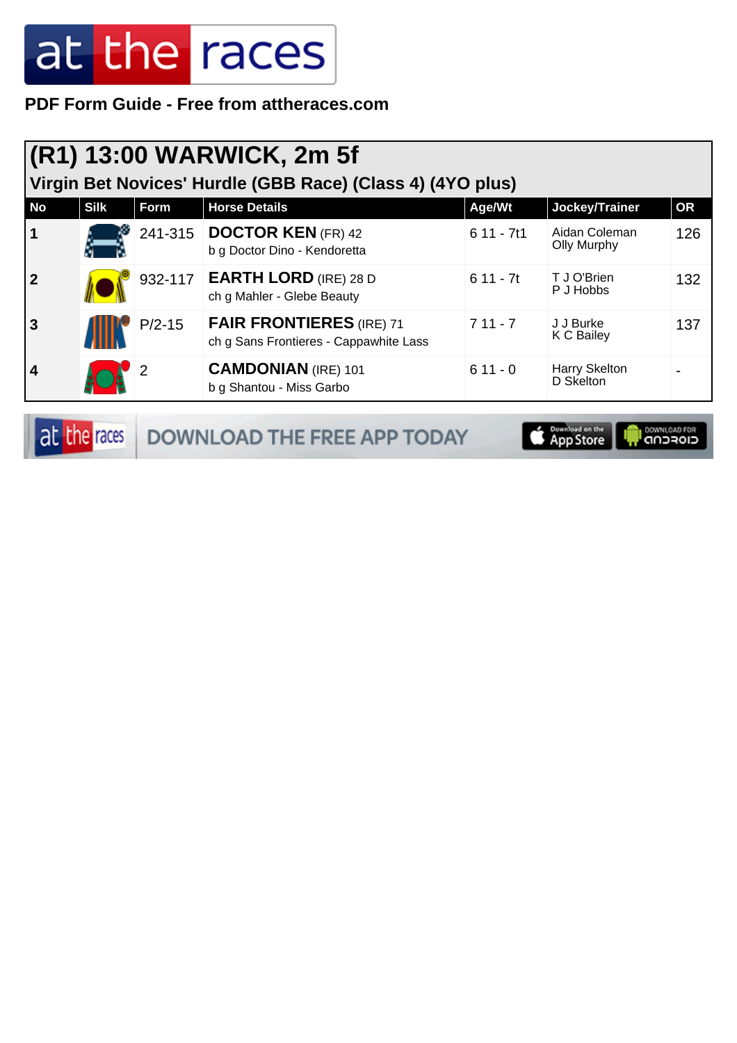**PDF Form Guide - Free from attheraces.com**

| $(R1)$ 13:00 WARWICK, 2m 5f<br>Virgin Bet Novices' Hurdle (GBB Race) (Class 4) (4YO plus) |             |          |                                                                           |             |                                     |           |  |
|-------------------------------------------------------------------------------------------|-------------|----------|---------------------------------------------------------------------------|-------------|-------------------------------------|-----------|--|
| <b>No</b>                                                                                 | <b>Silk</b> | Form     | <b>Horse Details</b>                                                      | Age/Wt      | Jockey/Trainer                      | <b>OR</b> |  |
| $\overline{\mathbf{1}}$                                                                   |             |          | 241-315   DOCTOR KEN (FR) 42<br>b g Doctor Dino - Kendoretta              | $611 - 7t1$ | Aidan Coleman<br><b>Olly Murphy</b> | 126       |  |
| $\overline{2}$                                                                            |             | 932-117  | <b>EARTH LORD</b> (IRE) 28 D<br>ch g Mahler - Glebe Beauty                | $611 - 7t$  | T J O'Brien<br>P J Hobbs            | 132       |  |
| $\overline{3}$                                                                            |             | $P/2-15$ | <b>FAIR FRONTIERES (IRE) 71</b><br>ch g Sans Frontieres - Cappawhite Lass | $711 - 7$   | J J Burke<br>K C Bailey             | 137       |  |
| $\overline{4}$                                                                            |             |          | <b>CAMDONIAN</b> (IRE) 101<br>b g Shantou - Miss Garbo                    | $611 - 0$   | Harry Skelton<br>D Skelton          |           |  |

| at the races | <b>DOWNLOAD THE FREE APP TODAY</b> | <b>App Store In Bowhicage For</b> |  |
|--------------|------------------------------------|-----------------------------------|--|
|--------------|------------------------------------|-----------------------------------|--|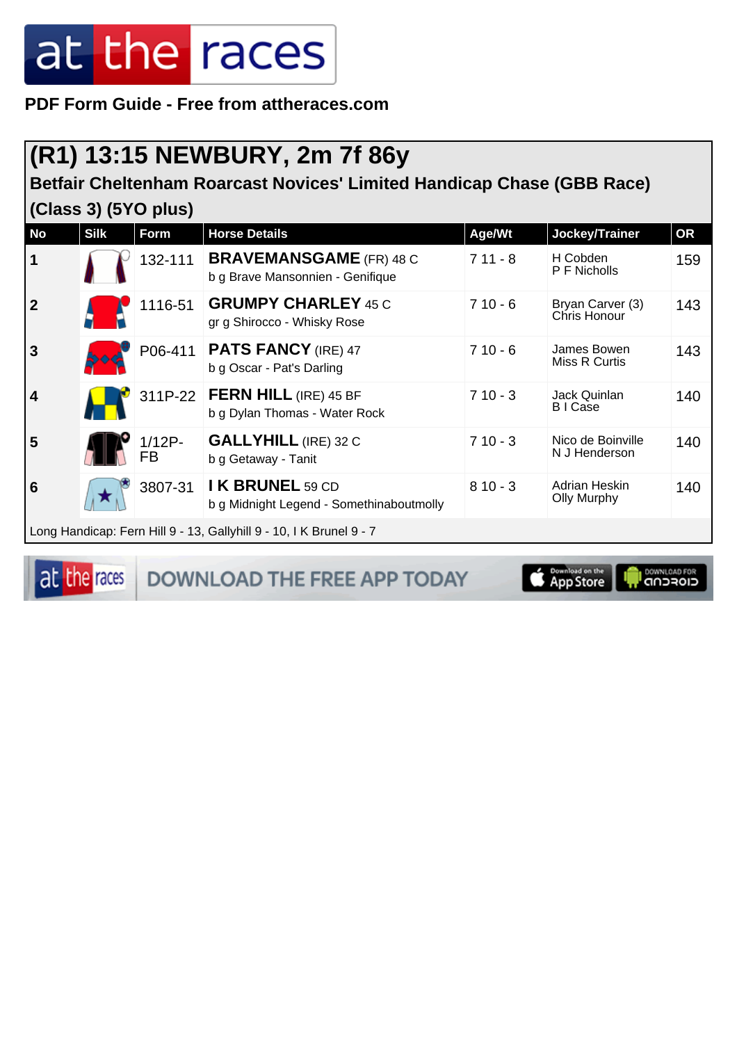**PDF Form Guide - Free from attheraces.com**

### **(R1) 13:15 NEWBURY, 2m 7f 86y**

#### **Betfair Cheltenham Roarcast Novices' Limited Handicap Chase (GBB Race) (Class 3) (5YO plus)**

| <b>No</b>                                                           | <b>Silk</b> | Form            | <b>Horse Details</b>                                               | Age/Wt    | Jockey/Trainer                     | <b>OR</b> |
|---------------------------------------------------------------------|-------------|-----------------|--------------------------------------------------------------------|-----------|------------------------------------|-----------|
| $\vert$ 1                                                           |             | 132-111         | <b>BRAVEMANSGAME</b> (FR) 48 C<br>b g Brave Mansonnien - Genifique | $711 - 8$ | H Cobden<br>P F Nicholls           | 159       |
| $\overline{2}$                                                      |             | 1116-51         | <b>GRUMPY CHARLEY 45 C</b><br>gr g Shirocco - Whisky Rose          | $710 - 6$ | Bryan Carver (3)<br>Chris Honour   | 143       |
| 3                                                                   |             | P06-411         | <b>PATS FANCY (IRE) 47</b><br>b g Oscar - Pat's Darling            | $710 - 6$ | James Bowen<br>Miss R Curtis       | 143       |
| $\vert 4$                                                           |             |                 | 311P-22   FERN HILL (IRE) 45 BF<br>b g Dylan Thomas - Water Rock   | $710 - 3$ | Jack Quinlan<br>B I Case           | 140       |
| 5                                                                   |             | $1/12P -$<br>FB | <b>GALLYHILL (IRE) 32 C</b><br>b g Getaway - Tanit                 | $710 - 3$ | Nico de Boinville<br>N J Henderson | 140       |
| 6                                                                   |             | 3807-31         | I K BRUNEL 59 CD<br>b g Midnight Legend - Somethinaboutmolly       | $810 - 3$ | Adrian Heskin<br>Olly Murphy       | 140       |
| Long Handicap: Fern Hill 9 - 13, Gallyhill 9 - 10, I K Brunel 9 - 7 |             |                 |                                                                    |           |                                    |           |

at the races

DOWNLOAD THE FREE APP TODAY

**DOWNLOAD FOR** App Store